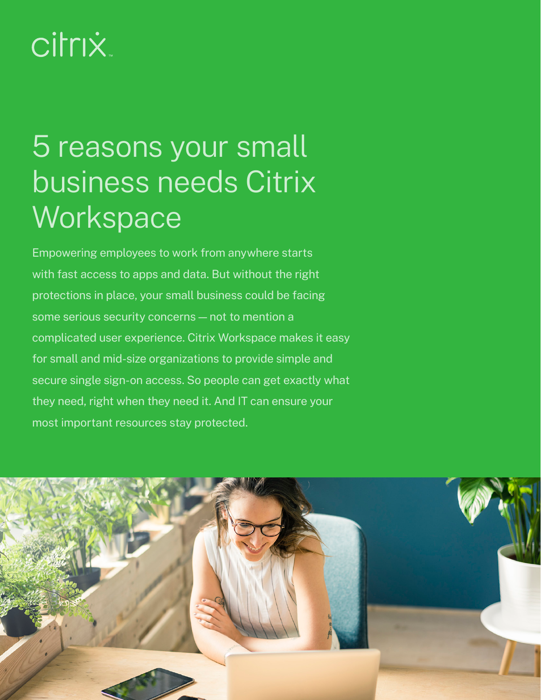# **citrix**

## 5 reasons your small business needs Citrix **Workspace**

Empowering employees to work from anywhere starts with fast access to apps and data. But without the right protections in place, your small business could be facing some serious security concerns — not to mention a complicated user experience. Citrix Workspace makes it easy for small and mid-size organizations to provide simple and secure single sign-on access. So people can get exactly what they need, right when they need it. And IT can ensure your most important resources stay protected.

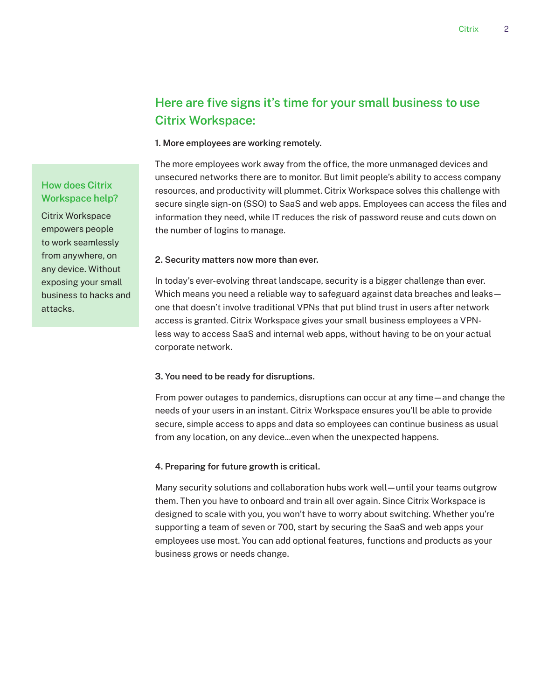### **Here are five signs it's time for your small business to use Citrix Workspace:**

#### **1. More employees are working remotely.**

The more employees work away from the office, the more unmanaged devices and unsecured networks there are to monitor. But limit people's ability to access company resources, and productivity will plummet. Citrix Workspace solves this challenge with secure single sign-on (SSO) to SaaS and web apps. Employees can access the files and information they need, while IT reduces the risk of password reuse and cuts down on the number of logins to manage.

#### **2. Security matters now more than ever.**

In today's ever-evolving threat landscape, security is a bigger challenge than ever. Which means you need a reliable way to safeguard against data breaches and leaks one that doesn't involve traditional VPNs that put blind trust in users after network access is granted. Citrix Workspace gives your small business employees a VPNless way to access SaaS and internal web apps, without having to be on your actual corporate network.

#### **3. You need to be ready for disruptions.**

From power outages to pandemics, disruptions can occur at any time—and change the needs of your users in an instant. Citrix Workspace ensures you'll be able to provide secure, simple access to apps and data so employees can continue business as usual from any location, on any device...even when the unexpected happens.

#### **4. Preparing for future growth is critical.**

Many security solutions and collaboration hubs work well—until your teams outgrow them. Then you have to onboard and train all over again. Since Citrix Workspace is designed to scale with you, you won't have to worry about switching. Whether you're supporting a team of seven or 700, start by securing the SaaS and web apps your employees use most. You can add optional features, functions and products as your business grows or needs change.

#### **How does Citrix Workspace help?**

Citrix Workspace empowers people to work seamlessly from anywhere, on any device. Without exposing your small business to hacks and attacks.